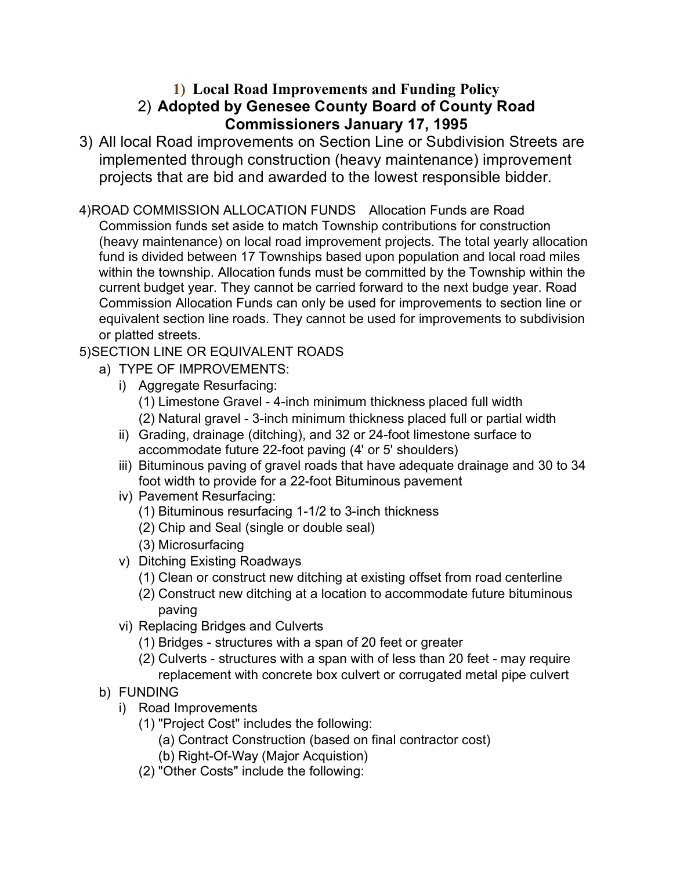## **1) Local Road Improvements and Funding Policy** 2) **Adopted by Genesee County Board of County Road Commissioners January 17, 1995**

- 3) All local Road improvements on Section Line or Subdivision Streets are implemented through construction (heavy maintenance) improvement projects that are bid and awarded to the lowest responsible bidder.
- 4)ROAD COMMISSION ALLOCATION FUNDS Allocation Funds are Road Commission funds set aside to match Township contributions for construction (heavy maintenance) on local road improvement projects. The total yearly allocation fund is divided between 17 Townships based upon population and local road miles within the township. Allocation funds must be committed by the Township within the current budget year. They cannot be carried forward to the next budge year. Road Commission Allocation Funds can only be used for improvements to section line or equivalent section line roads. They cannot be used for improvements to subdivision or platted streets.
- 5)SECTION LINE OR EQUIVALENT ROADS
	- a) TYPE OF IMPROVEMENTS:
		- i) Aggregate Resurfacing:
			- (1) Limestone Gravel 4-inch minimum thickness placed full width (2) Natural gravel - 3-inch minimum thickness placed full or partial width
		- ii) Grading, drainage (ditching), and 32 or 24-foot limestone surface to accommodate future 22-foot paving (4' or 5' shoulders)
		- iii) Bituminous paving of gravel roads that have adequate drainage and 30 to 34 foot width to provide for a 22-foot Bituminous pavement
		- iv) Pavement Resurfacing:
			- (1) Bituminous resurfacing 1-1/2 to 3-inch thickness
			- (2) Chip and Seal (single or double seal)
			- (3) Microsurfacing
		- v) Ditching Existing Roadways
			- (1) Clean or construct new ditching at existing offset from road centerline
			- (2) Construct new ditching at a location to accommodate future bituminous paving
		- vi) Replacing Bridges and Culverts
			- (1) Bridges structures with a span of 20 feet or greater
			- (2) Culverts structures with a span with of less than 20 feet may require replacement with concrete box culvert or corrugated metal pipe culvert
	- b) FUNDING
		- i) Road Improvements
			- (1) "Project Cost" includes the following:
				- (a) Contract Construction (based on final contractor cost)
				- (b) Right-Of-Way (Major Acquistion)
			- (2) "Other Costs" include the following: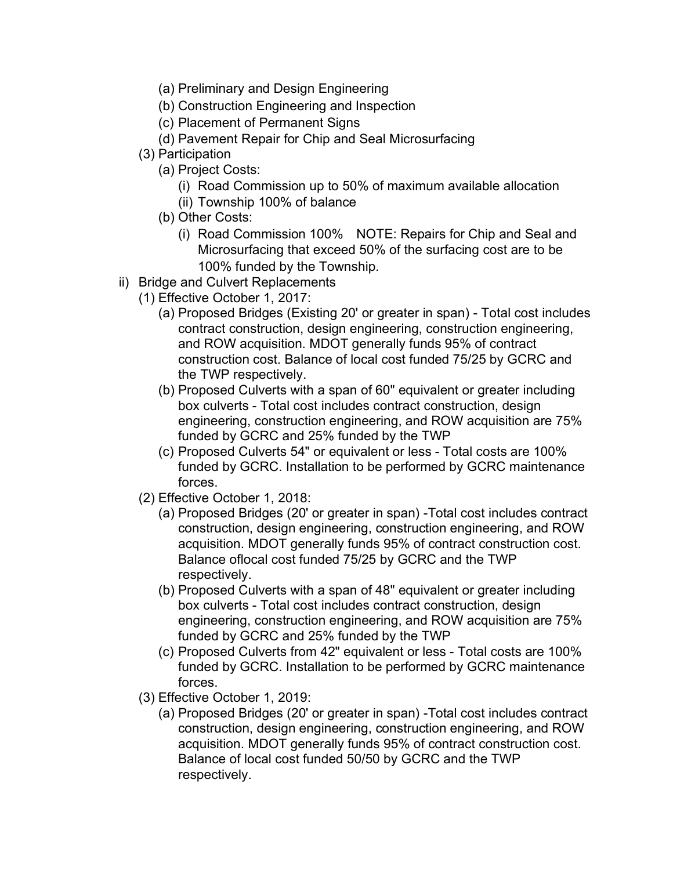- (a) Preliminary and Design Engineering
- (b) Construction Engineering and Inspection
- (c) Placement of Permanent Signs
- (d) Pavement Repair for Chip and Seal Microsurfacing
- (3) Participation
	- (a) Project Costs:
		- (i) Road Commission up to 50% of maximum available allocation
		- (ii) Township 100% of balance
	- (b) Other Costs:
		- (i) Road Commission 100% NOTE: Repairs for Chip and Seal and Microsurfacing that exceed 50% of the surfacing cost are to be 100% funded by the Township.
- ii) Bridge and Culvert Replacements
	- (1) Effective October 1, 2017:
		- (a) Proposed Bridges (Existing 20' or greater in span) Total cost includes contract construction, design engineering, construction engineering, and ROW acquisition. MDOT generally funds 95% of contract construction cost. Balance of local cost funded 75/25 by GCRC and the TWP respectively.
		- (b) Proposed Culverts with a span of 60" equivalent or greater including box culverts - Total cost includes contract construction, design engineering, construction engineering, and ROW acquisition are 75% funded by GCRC and 25% funded by the TWP
		- (c) Proposed Culverts 54" or equivalent or less Total costs are 100% funded by GCRC. Installation to be performed by GCRC maintenance forces.
	- (2) Effective October 1, 2018:
		- (a) Proposed Bridges (20' or greater in span) -Total cost includes contract construction, design engineering, construction engineering, and ROW acquisition. MDOT generally funds 95% of contract construction cost. Balance oflocal cost funded 75/25 by GCRC and the TWP respectively.
		- (b) Proposed Culverts with a span of 48" equivalent or greater including box culverts - Total cost includes contract construction, design engineering, construction engineering, and ROW acquisition are 75% funded by GCRC and 25% funded by the TWP
		- (c) Proposed Culverts from 42" equivalent or less Total costs are 100% funded by GCRC. Installation to be performed by GCRC maintenance forces.
	- (3) Effective October 1, 2019:
		- (a) Proposed Bridges (20' or greater in span) -Total cost includes contract construction, design engineering, construction engineering, and ROW acquisition. MDOT generally funds 95% of contract construction cost. Balance of local cost funded 50/50 by GCRC and the TWP respectively.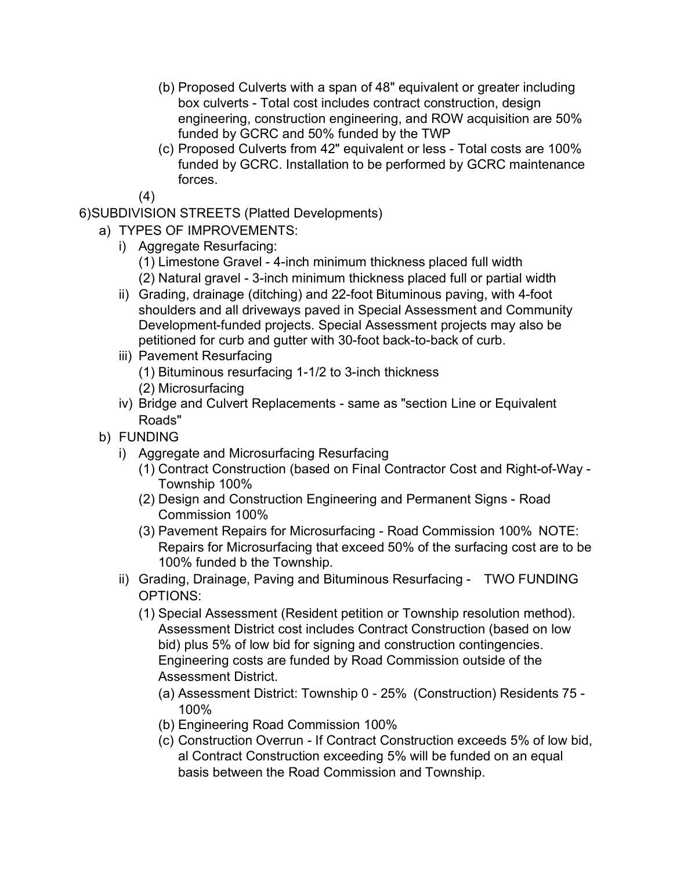- (b) Proposed Culverts with a span of 48" equivalent or greater including box culverts - Total cost includes contract construction, design engineering, construction engineering, and ROW acquisition are 50% funded by GCRC and 50% funded by the TWP
- (c) Proposed Culverts from 42" equivalent or less Total costs are 100% funded by GCRC. Installation to be performed by GCRC maintenance forces.

(4)

6)SUBDIVISION STREETS (Platted Developments)

- a) TYPES OF IMPROVEMENTS:
	- i) Aggregate Resurfacing:
		- (1) Limestone Gravel 4-inch minimum thickness placed full width (2) Natural gravel - 3-inch minimum thickness placed full or partial width
	- ii) Grading, drainage (ditching) and 22-foot Bituminous paving, with 4-foot shoulders and all driveways paved in Special Assessment and Community Development-funded projects. Special Assessment projects may also be petitioned for curb and gutter with 30-foot back-to-back of curb.
	- iii) Pavement Resurfacing
		- (1) Bituminous resurfacing 1-1/2 to 3-inch thickness
		- (2) Microsurfacing
	- iv) Bridge and Culvert Replacements same as "section Line or Equivalent Roads"
- b) FUNDING
	- i) Aggregate and Microsurfacing Resurfacing
		- (1) Contract Construction (based on Final Contractor Cost and Right-of-Way Township 100%
		- (2) Design and Construction Engineering and Permanent Signs Road Commission 100%
		- (3) Pavement Repairs for Microsurfacing Road Commission 100% NOTE: Repairs for Microsurfacing that exceed 50% of the surfacing cost are to be 100% funded b the Township.
	- ii) Grading, Drainage, Paving and Bituminous Resurfacing TWO FUNDING OPTIONS:
		- (1) Special Assessment (Resident petition or Township resolution method). Assessment District cost includes Contract Construction (based on low bid) plus 5% of low bid for signing and construction contingencies. Engineering costs are funded by Road Commission outside of the Assessment District.
			- (a) Assessment District: Township 0 25% (Construction) Residents 75 100%
			- (b) Engineering Road Commission 100%
			- (c) Construction Overrun If Contract Construction exceeds 5% of low bid, al Contract Construction exceeding 5% will be funded on an equal basis between the Road Commission and Township.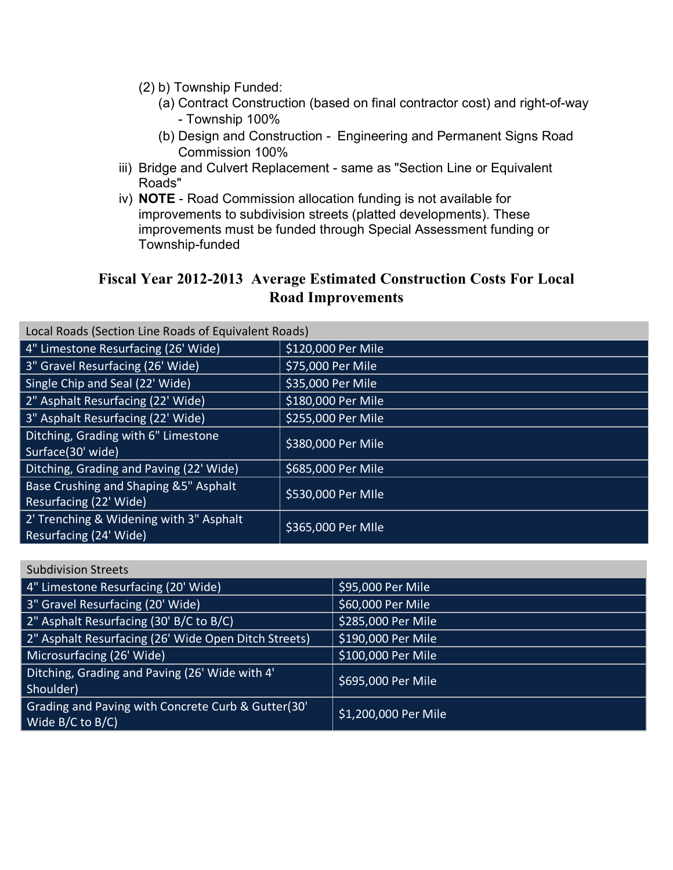- (2) b) Township Funded:
	- (a) Contract Construction (based on final contractor cost) and right-of-way - Township 100%
	- (b) Design and Construction Engineering and Permanent Signs Road Commission 100%
- iii) Bridge and Culvert Replacement same as "Section Line or Equivalent Roads"
- iv) **NOTE** Road Commission allocation funding is not available for improvements to subdivision streets (platted developments). These improvements must be funded through Special Assessment funding or Township-funded

## **Fiscal Year 2012-2013 Average Estimated Construction Costs For Local Road Improvements**

| Local Roads (Section Line Roads of Equivalent Roads)              |                    |
|-------------------------------------------------------------------|--------------------|
| 4" Limestone Resurfacing (26' Wide)                               | \$120,000 Per Mile |
| 3" Gravel Resurfacing (26' Wide)                                  | \$75,000 Per Mile  |
| Single Chip and Seal (22' Wide)                                   | \$35,000 Per Mile  |
| 2" Asphalt Resurfacing (22' Wide)                                 | \$180,000 Per Mile |
| 3" Asphalt Resurfacing (22' Wide)                                 | \$255,000 Per Mile |
| Ditching, Grading with 6" Limestone<br>Surface(30' wide)          | \$380,000 Per Mile |
| Ditching, Grading and Paving (22' Wide)                           | \$685,000 Per Mile |
| Base Crushing and Shaping &5" Asphalt<br>Resurfacing (22' Wide)   | \$530,000 Per MIle |
| 2' Trenching & Widening with 3" Asphalt<br>Resurfacing (24' Wide) | \$365,000 Per MIle |

| <b>Subdivision Streets</b>                                                  |                      |
|-----------------------------------------------------------------------------|----------------------|
| 4" Limestone Resurfacing (20' Wide)                                         | \$95,000 Per Mile    |
| 3" Gravel Resurfacing (20' Wide)                                            | \$60,000 Per Mile    |
| 2" Asphalt Resurfacing (30' B/C to B/C)                                     | \$285,000 Per Mile   |
| 2" Asphalt Resurfacing (26' Wide Open Ditch Streets)                        | \$190,000 Per Mile   |
| Microsurfacing (26' Wide)                                                   | \$100,000 Per Mile   |
| Ditching, Grading and Paving (26' Wide with 4'<br>Shoulder)                 | \$695,000 Per Mile   |
| Grading and Paving with Concrete Curb & Gutter(30'<br>Wide $B/C$ to $B/C$ ) | \$1,200,000 Per Mile |